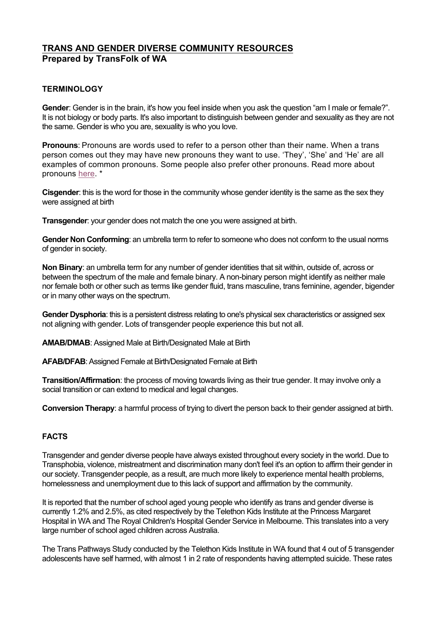# **TRANS AND GENDER DIVERSE COMMUNITY RESOURCES Prepared by TransFolk of WA**

# **TERMINOLOGY**

**Gender**: Gender is in the brain, it's how you feel inside when you ask the question "am I male or female?". It is not biology or body parts. It's also important to distinguish between gender and sexuality as they are not the same. Gender is who you are, sexuality is who you love.

**Pronouns**: Pronouns are words used to refer to a person other than their name. When a trans person comes out they may have new pronouns they want to use. 'They', 'She' and 'He' are all examples of common pronouns. Some people also prefer other pronouns. Read more about pronouns here. \*

**Cisgender**: this is the word for those in the community whose gender identity is the same as the sex they were assigned at birth

**Transgender:** your gender does not match the one you were assigned at birth.

**Gender Non Conforming**: an umbrella term to refer to someone who does not conform to the usual norms of gender in society.

**Non Binary**: an umbrella term for any number of gender identities that sit within, outside of, across or between the spectrum of the male and female binary. A non-binary person might identify as neither male nor female both or other such as terms like gender fluid, trans masculine, trans feminine, agender, bigender or in many other ways on the spectrum.

**Gender Dysphoria**: this is a persistent distress relating to one's physical sex characteristics or assigned sex not aligning with gender. Lots of transgender people experience this but not all.

**AMAB/DMAB**: Assigned Male at Birth/Designated Male at Birth

**AFAB/DFAB**: Assigned Female at Birth/Designated Female at Birth

**Transition/Affirmation**: the process of moving towards living as their true gender. It may involve only a social transition or can extend to medical and legal changes.

**Conversion Therapy**: a harmful process of trying to divert the person back to their gender assigned at birth.

# **FACTS**

Transgender and gender diverse people have always existed throughout every society in the world. Due to Transphobia, violence, mistreatment and discrimination many don't feel it's an option to affirm their gender in our society. Transgender people, as a result, are much more likely to experience mental health problems, homelessness and unemployment due to this lack of support and affirmation by the community.

It is reported that the number of school aged young people who identify as trans and gender diverse is currently 1.2% and 2.5%, as cited respectively by the Telethon Kids Institute at the Princess Margaret Hospital in WA and The Royal Children's Hospital Gender Service in Melbourne. This translates into a very large number of school aged children across Australia.

The Trans Pathways Study conducted by the Telethon Kids Institute in WA found that 4 out of 5 transgender adolescents have self harmed, with almost 1 in 2 rate of respondents having attempted suicide. These rates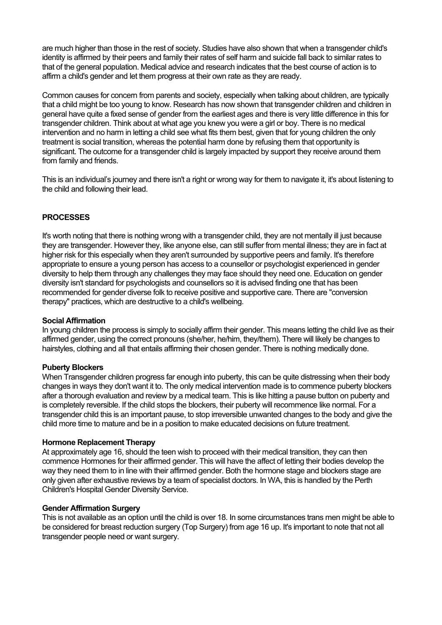are much higher than those in the rest of society. Studies have also shown that when a transgender child's identity is affirmed by their peers and family their rates of self harm and suicide fall back to similar rates to that of the general population. Medical advice and research indicates that the best course of action is to affirm a child's gender and let them progress at their own rate as they are ready.

Common causes for concern from parents and society, especially when talking about children, are typically that a child might be too young to know. Research has now shown that transgender children and children in general have quite a fixed sense of gender from the earliest ages and there is very little difference in this for transgender children. Think about at what age you knew you were a girl or boy. There is no medical intervention and no harm in letting a child see what fits them best, given that for young children the only treatment is social transition, whereas the potential harm done by refusing them that opportunity is significant. The outcome for a transgender child is largely impacted by support they receive around them from family and friends.

This is an individual's journey and there isn't a right or wrong way for them to navigate it, it's about listening to the child and following their lead.

# **PROCESSES**

It's worth noting that there is nothing wrong with a transgender child, they are not mentally ill just because they are transgender. However they, like anyone else, can still suffer from mental illness; they are in fact at higher risk for this especially when they aren't surrounded by supportive peers and family. It's therefore appropriate to ensure a young person has access to a counsellor or psychologist experienced in gender diversity to help them through any challenges they may face should they need one. Education on gender diversity isn't standard for psychologists and counsellors so it is advised finding one that has been recommended for gender diverse folk to receive positive and supportive care. There are "conversion therapy" practices, which are destructive to a child's wellbeing.

# **Social Affirmation**

In young children the process is simply to socially affirm their gender. This means letting the child live as their affirmed gender, using the correct pronouns (she/her, he/him, they/them). There will likely be changes to hairstyles, clothing and all that entails affirming their chosen gender. There is nothing medically done.

# **Puberty Blockers**

When Transgender children progress far enough into puberty, this can be quite distressing when their body changes in ways they don't want it to. The only medical intervention made is to commence puberty blockers after a thorough evaluation and review by a medical team. This is like hitting a pause button on puberty and is completely reversible. If the child stops the blockers, their puberty will recommence like normal. For a transgender child this is an important pause, to stop irreversible unwanted changes to the body and give the child more time to mature and be in a position to make educated decisions on future treatment.

# **Hormone Replacement Therapy**

At approximately age 16, should the teen wish to proceed with their medical transition, they can then commence Hormones for their affirmed gender. This will have the affect of letting their bodies develop the way they need them to in line with their affirmed gender. Both the hormone stage and blockers stage are only given after exhaustive reviews by a team of specialist doctors. In WA, this is handled by the Perth Children's Hospital Gender Diversity Service.

# **Gender Affirmation Surgery**

This is not available as an option until the child is over 18. In some circumstances trans men might be able to be considered for breast reduction surgery (Top Surgery) from age 16 up. It's important to note that not all transgender people need or want surgery.